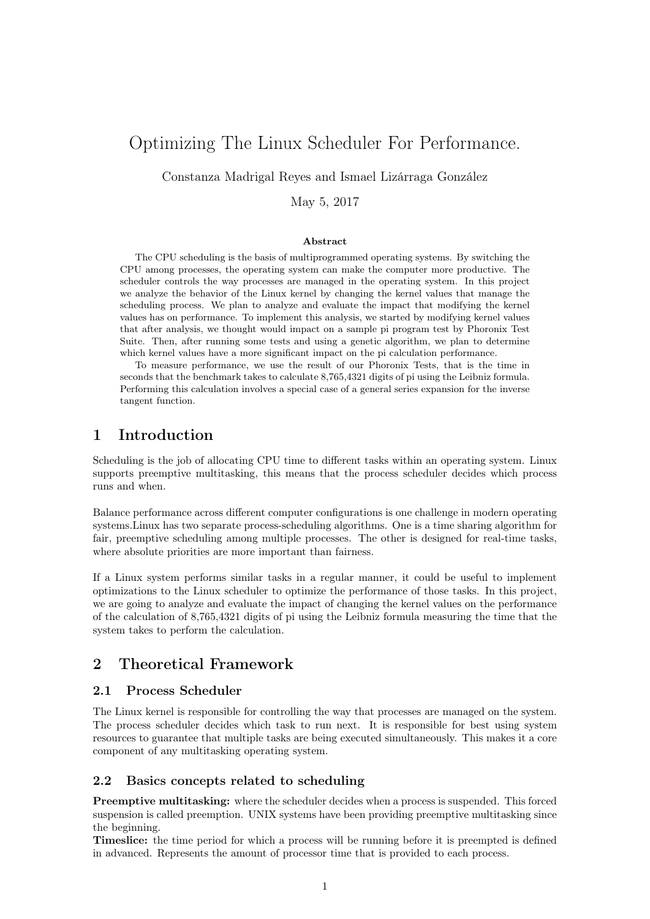# Optimizing The Linux Scheduler For Performance.

Constanza Madrigal Reyes and Ismael Lizárraga González

May 5, 2017

#### Abstract

The CPU scheduling is the basis of multiprogrammed operating systems. By switching the CPU among processes, the operating system can make the computer more productive. The scheduler controls the way processes are managed in the operating system. In this project we analyze the behavior of the Linux kernel by changing the kernel values that manage the scheduling process. We plan to analyze and evaluate the impact that modifying the kernel values has on performance. To implement this analysis, we started by modifying kernel values that after analysis, we thought would impact on a sample pi program test by Phoronix Test Suite. Then, after running some tests and using a genetic algorithm, we plan to determine which kernel values have a more significant impact on the pi calculation performance.

To measure performance, we use the result of our Phoronix Tests, that is the time in seconds that the benchmark takes to calculate 8,765,4321 digits of pi using the Leibniz formula. Performing this calculation involves a special case of a general series expansion for the inverse tangent function.

## 1 Introduction

Scheduling is the job of allocating CPU time to different tasks within an operating system. Linux supports preemptive multitasking, this means that the process scheduler decides which process runs and when.

Balance performance across different computer configurations is one challenge in modern operating systems.Linux has two separate process-scheduling algorithms. One is a time sharing algorithm for fair, preemptive scheduling among multiple processes. The other is designed for real-time tasks, where absolute priorities are more important than fairness.

If a Linux system performs similar tasks in a regular manner, it could be useful to implement optimizations to the Linux scheduler to optimize the performance of those tasks. In this project, we are going to analyze and evaluate the impact of changing the kernel values on the performance of the calculation of 8,765,4321 digits of pi using the Leibniz formula measuring the time that the system takes to perform the calculation.

# 2 Theoretical Framework

### 2.1 Process Scheduler

The Linux kernel is responsible for controlling the way that processes are managed on the system. The process scheduler decides which task to run next. It is responsible for best using system resources to guarantee that multiple tasks are being executed simultaneously. This makes it a core component of any multitasking operating system.

#### 2.2 Basics concepts related to scheduling

Preemptive multitasking: where the scheduler decides when a process is suspended. This forced suspension is called preemption. UNIX systems have been providing preemptive multitasking since the beginning.

Timeslice: the time period for which a process will be running before it is preempted is defined in advanced. Represents the amount of processor time that is provided to each process.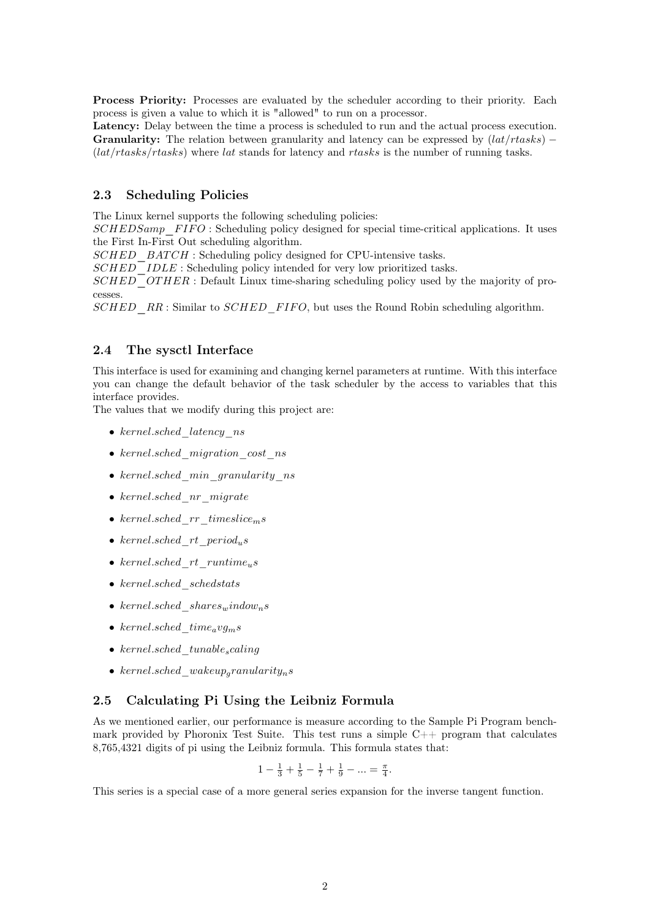Process Priority: Processes are evaluated by the scheduler according to their priority. Each process is given a value to which it is "allowed" to run on a processor.

Latency: Delay between the time a process is scheduled to run and the actual process execution. **Granularity:** The relation between granularity and latency can be expressed by  $(lat/rtasks)$  –  $(lat/rtasks/rtasks)$  where lat stands for latency and rtasks is the number of running tasks.

### 2.3 Scheduling Policies

The Linux kernel supports the following scheduling policies:

SCHEDSamp FIFO : Scheduling policy designed for special time-critical applications. It uses the First In-First Out scheduling algorithm.

 $SCHED$   $BATCH$ : Scheduling policy designed for CPU-intensive tasks.

 $SCHED$ <sup>-</sup> $IDLE$ : Scheduling policy intended for very low prioritized tasks.

 $SCHED-OTHER$ : Default Linux time-sharing scheduling policy used by the majority of processes.

 $SCHED-RR$ : Similar to  $SCHED$  FIFO, but uses the Round Robin scheduling algorithm.

#### 2.4 The sysctl Interface

This interface is used for examining and changing kernel parameters at runtime. With this interface you can change the default behavior of the task scheduler by the access to variables that this interface provides.

The values that we modify during this project are:

- kernel.sched latency ns
- kernel.sched migration cost ns
- kernel.sched min granularity ns
- kernel.sched nr migrate
- kernel.sched $rr\_timeslicems$
- kernel.sched rt  $period<sub>u</sub>s$
- kernel.sched rt runtime<sub>u</sub>s
- $\bullet$  kernel.sched schedstats
- kernel.sched  $shares_window_ns$
- kernel.sched  $time_{a}vq_{m}s$
- kernel.sched  $tunneling$
- kernel.sched wakeup<sub>g</sub>ranularity<sub>n</sub>s

## 2.5 Calculating Pi Using the Leibniz Formula

As we mentioned earlier, our performance is measure according to the Sample Pi Program benchmark provided by Phoronix Test Suite. This test runs a simple  $C++$  program that calculates 8,765,4321 digits of pi using the Leibniz formula. This formula states that:

$$
1 - \frac{1}{3} + \frac{1}{5} - \frac{1}{7} + \frac{1}{9} - \dots = \frac{\pi}{4}.
$$

This series is a special case of a more general series expansion for the inverse tangent function.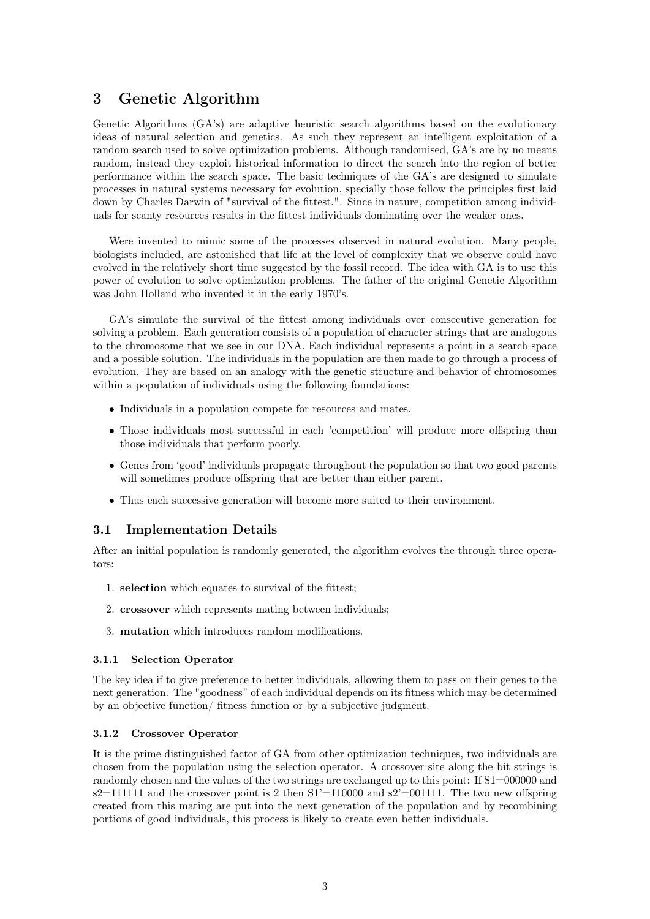## 3 Genetic Algorithm

Genetic Algorithms (GA's) are adaptive heuristic search algorithms based on the evolutionary ideas of natural selection and genetics. As such they represent an intelligent exploitation of a random search used to solve optimization problems. Although randomised, GA's are by no means random, instead they exploit historical information to direct the search into the region of better performance within the search space. The basic techniques of the GA's are designed to simulate processes in natural systems necessary for evolution, specially those follow the principles first laid down by Charles Darwin of "survival of the fittest.". Since in nature, competition among individuals for scanty resources results in the fittest individuals dominating over the weaker ones.

Were invented to mimic some of the processes observed in natural evolution. Many people, biologists included, are astonished that life at the level of complexity that we observe could have evolved in the relatively short time suggested by the fossil record. The idea with GA is to use this power of evolution to solve optimization problems. The father of the original Genetic Algorithm was John Holland who invented it in the early 1970's.

GA's simulate the survival of the fittest among individuals over consecutive generation for solving a problem. Each generation consists of a population of character strings that are analogous to the chromosome that we see in our DNA. Each individual represents a point in a search space and a possible solution. The individuals in the population are then made to go through a process of evolution. They are based on an analogy with the genetic structure and behavior of chromosomes within a population of individuals using the following foundations:

- Individuals in a population compete for resources and mates.
- Those individuals most successful in each 'competition' will produce more offspring than those individuals that perform poorly.
- Genes from 'good' individuals propagate throughout the population so that two good parents will sometimes produce offspring that are better than either parent.
- Thus each successive generation will become more suited to their environment.

### 3.1 Implementation Details

After an initial population is randomly generated, the algorithm evolves the through three operators:

- 1. selection which equates to survival of the fittest;
- 2. crossover which represents mating between individuals;
- 3. mutation which introduces random modifications.

#### 3.1.1 Selection Operator

The key idea if to give preference to better individuals, allowing them to pass on their genes to the next generation. The "goodness" of each individual depends on its fitness which may be determined by an objective function/ fitness function or by a subjective judgment.

#### 3.1.2 Crossover Operator

It is the prime distinguished factor of GA from other optimization techniques, two individuals are chosen from the population using the selection operator. A crossover site along the bit strings is randomly chosen and the values of the two strings are exchanged up to this point: If  $S1=000000$  and s2=111111 and the crossover point is 2 then  $S1' = 110000$  and  $S2' = 001111$ . The two new offspring created from this mating are put into the next generation of the population and by recombining portions of good individuals, this process is likely to create even better individuals.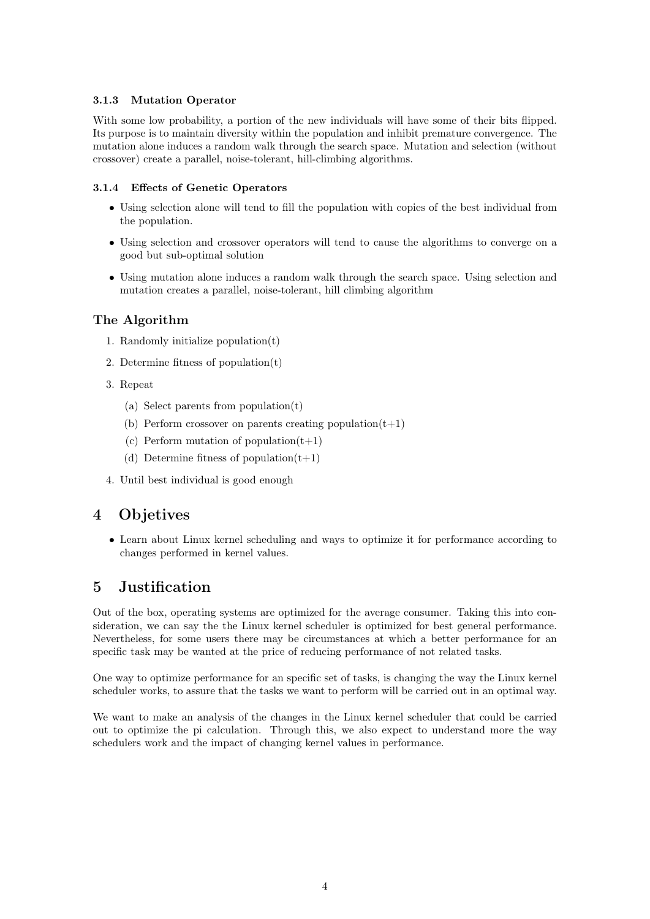### 3.1.3 Mutation Operator

With some low probability, a portion of the new individuals will have some of their bits flipped. Its purpose is to maintain diversity within the population and inhibit premature convergence. The mutation alone induces a random walk through the search space. Mutation and selection (without crossover) create a parallel, noise-tolerant, hill-climbing algorithms.

### 3.1.4 Effects of Genetic Operators

- Using selection alone will tend to fill the population with copies of the best individual from the population.
- Using selection and crossover operators will tend to cause the algorithms to converge on a good but sub-optimal solution
- Using mutation alone induces a random walk through the search space. Using selection and mutation creates a parallel, noise-tolerant, hill climbing algorithm

### The Algorithm

- 1. Randomly initialize population(t)
- 2. Determine fitness of population(t)
- 3. Repeat
	- (a) Select parents from population(t)
	- (b) Perform crossover on parents creating population $(t+1)$
	- (c) Perform mutation of population $(t+1)$
	- (d) Determine fitness of population $(t+1)$
- 4. Until best individual is good enough

## 4 Objetives

• Learn about Linux kernel scheduling and ways to optimize it for performance according to changes performed in kernel values.

## 5 Justification

Out of the box, operating systems are optimized for the average consumer. Taking this into consideration, we can say the the Linux kernel scheduler is optimized for best general performance. Nevertheless, for some users there may be circumstances at which a better performance for an specific task may be wanted at the price of reducing performance of not related tasks.

One way to optimize performance for an specific set of tasks, is changing the way the Linux kernel scheduler works, to assure that the tasks we want to perform will be carried out in an optimal way.

We want to make an analysis of the changes in the Linux kernel scheduler that could be carried out to optimize the pi calculation. Through this, we also expect to understand more the way schedulers work and the impact of changing kernel values in performance.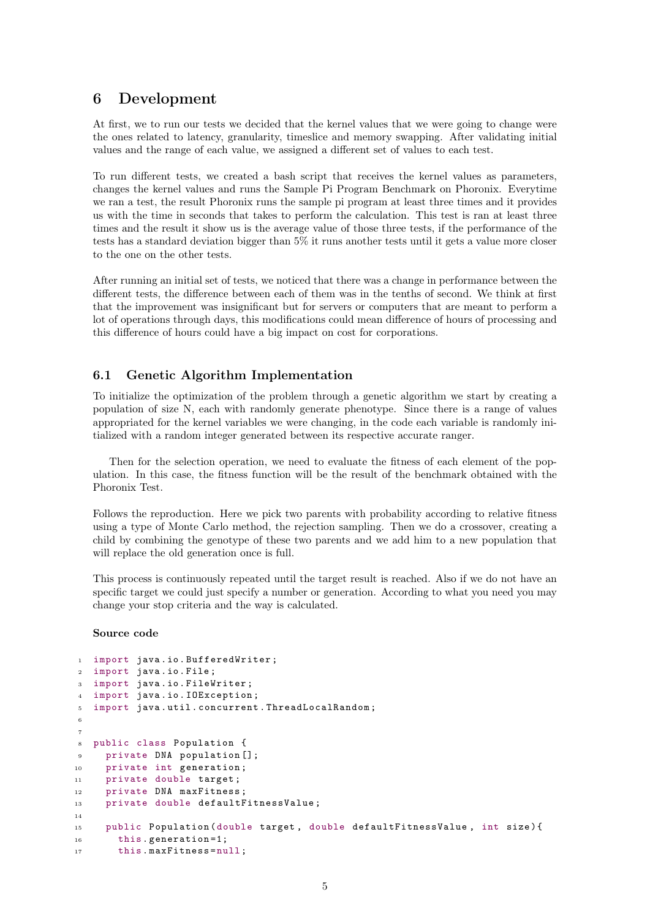## 6 Development

At first, we to run our tests we decided that the kernel values that we were going to change were the ones related to latency, granularity, timeslice and memory swapping. After validating initial values and the range of each value, we assigned a different set of values to each test.

To run different tests, we created a bash script that receives the kernel values as parameters, changes the kernel values and runs the Sample Pi Program Benchmark on Phoronix. Everytime we ran a test, the result Phoronix runs the sample pi program at least three times and it provides us with the time in seconds that takes to perform the calculation. This test is ran at least three times and the result it show us is the average value of those three tests, if the performance of the tests has a standard deviation bigger than 5% it runs another tests until it gets a value more closer to the one on the other tests.

After running an initial set of tests, we noticed that there was a change in performance between the different tests, the difference between each of them was in the tenths of second. We think at first that the improvement was insignificant but for servers or computers that are meant to perform a lot of operations through days, this modifications could mean difference of hours of processing and this difference of hours could have a big impact on cost for corporations.

## 6.1 Genetic Algorithm Implementation

To initialize the optimization of the problem through a genetic algorithm we start by creating a population of size N, each with randomly generate phenotype. Since there is a range of values appropriated for the kernel variables we were changing, in the code each variable is randomly initialized with a random integer generated between its respective accurate ranger.

Then for the selection operation, we need to evaluate the fitness of each element of the population. In this case, the fitness function will be the result of the benchmark obtained with the Phoronix Test.

Follows the reproduction. Here we pick two parents with probability according to relative fitness using a type of Monte Carlo method, the rejection sampling. Then we do a crossover, creating a child by combining the genotype of these two parents and we add him to a new population that will replace the old generation once is full.

This process is continuously repeated until the target result is reached. Also if we do not have an specific target we could just specify a number or generation. According to what you need you may change your stop criteria and the way is calculated.

#### Source code

```
1 import java . io . BufferedWriter ;
2 import java . io . File ;
3 import java . io . FileWriter ;
4 import java . io . IOException ;
5 import java . util . concurrent . ThreadLocalRandom ;
6
7
8 public class Population {
9 private DNA population [];
10 private int generation ;
11 private double target;
12 private DNA maxFitness ;
13 private double defaultFitnessValue ;
14
15 public Population (double target, double defaultFitnessValue, int size) {
16 this . generation=1;
17 this . maxFitness=null;
```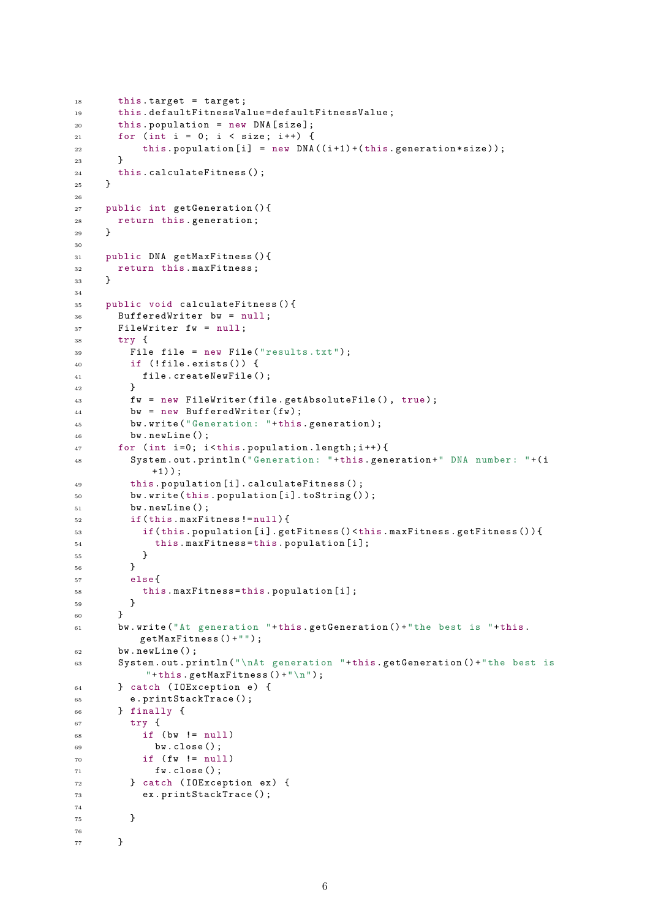```
18 this . target = target;
19 this . defaultFitnessValue = defaultFitnessValue ;
20 this . population = new DNA [ size ];
_{21} for (int i = 0; i < size; i++) {
22 this population [i] = new DNA ((i+1)+(this . generation * size));
23 }
24 this . calculateFitness () ;
25 }
26
27 public int getGeneration () {
28 return this . generation ;
29 }
30
31 public DNA getMaxFitness () {
32 return this . maxFitness ;
33 }
34
35 public void calculateFitness () {
36 BufferedWriter bw = null ;
37 FileWriter fw = null ;
38 try {
39 File file = new File (" results .txt ") ;
40 if (! file . exists () ) {
41 file . createNewFile () ;
42 }
43 fw = new FileWriter ( file . getAbsoluteFile () , true ) ;
44 bw = new BufferedWriter (fw);
45 bw . write (" Generation : "+ this . generation ) ;
46 bw . newLine () ;
47 for (int i=0; i < this . population . length; i + + ) {
48 System . out . println (" Generation : "+ this . generation +" DNA number : "+( i
            +1) ) :
49 this . population [i]. calculateFitness();
50 bw. write (this. population [i]. toString ());
51 bw . newLine () ;
52 if( this . maxFitness != null ) {
53 if (this . population [i]. getFitness () <this . maxFitness . getFitness ()) {
54 this.maxFitness=this.population [i];
55 }
56 }
57 else {
58 this.maxFitness=this.population [i];
59 }
60 }
61 bw . write ("At generation "+ this . getGeneration () +"the best is "+ this .
          getMaxFitness () +"") ;
62 bw . newLine () ;
63 System . out . println ("\nAt generation "+ this . getGeneration () +" the best is
           "+this.getMaxFitness()+"\n");
64 } catch (IOException e) {
65 e . printStackTrace () ;
66 } finally {
67 try {
68 if ( bw != null )
69 bw.close();
70 if ( fw != null )
71 fw.close();
72 } catch ( IOException ex ) {
73 ex . printStackTrace () ;
74
75 }
76
77 }
```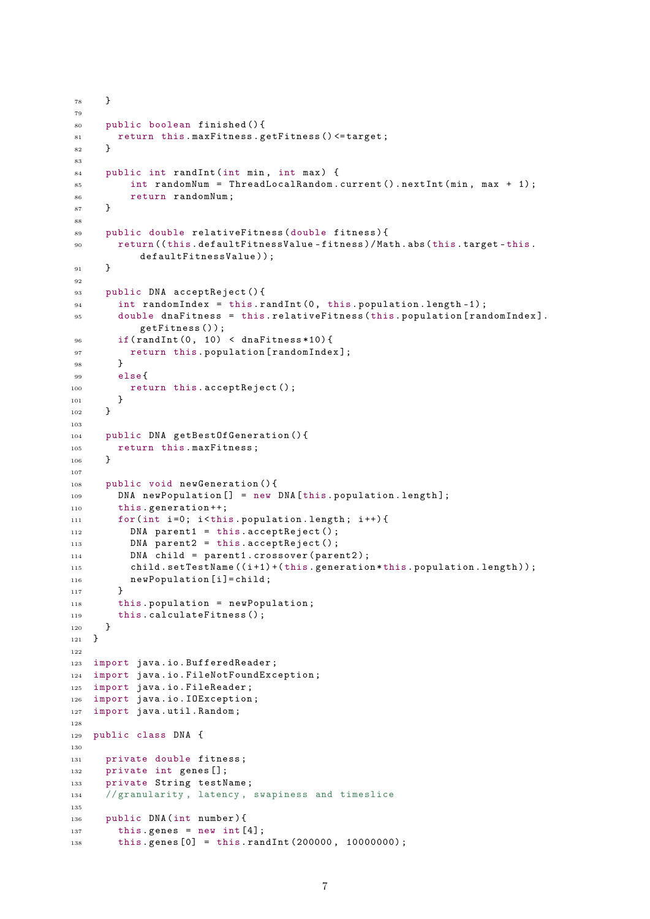```
79
80 public boolean finished () {
81 return this . maxFitness . getFitness () <= target;
82 \times 783
84 public int randInt (int min, int max) {
85 int randomNum = ThreadLocalRandom.current ().nextInt (min, max + 1);
86 return randomNum ;
87 }
88
89 public double relativeFitness ( double fitness ) {
90 return (( this . defaultFitnessValue - fitness ) / Math . abs ( this . target - this .
           defaultFitnessValue));
\overline{91} }
9293 public DNA acceptReject () {
94 int randomIndex = this.randInt (0, this.population.length-1);
95 double dnaFitness = this . relativeFitness ( this . population [ randomIndex ].
           getFitness () ) ;
96 if( randInt (0 , 10) < dnaFitness *10) {
97 return this . population [randomIndex];
98 }
99 else {
100 return this . acceptReject ();
101 }
102 }
103
104 public DNA getBestOfGeneration () {
105 return this . maxFitness;
106 }
107
108 public void newGeneration () {
109 DNA newPopulation [] = new DNA [ this . population . length ];
110 this .generation ++;
111 for (int i=0; i < this . population . length; i + +) {
112 DNA parent1 = this . acceptReject ();
113 DNA parent2 = this . acceptReject ();
114 DNA child = parent1.crossover (parent2);
115 child . setTestName ((i+1)+(this) . generation * this . population . length) );
116 newPopulation [i] = child;
117 }
118 this . population = newPopulation;
119 this.calculateFitness();
120 }
121 }
122
123 import java . io . BufferedReader ;
124 import java . io . FileNotFoundException ;
125 import java . io . FileReader ;
126 import java . io . IOException ;
127 import java . util . Random ;
128
129 public class DNA {
130
131 private double fitness ;
132 private int genes [];
133 private String testName;
134 // granularity , latency , swapiness and timeslice
135
136 public DNA (int number) {
137 this . genes = new int [4];
138 this .genes [0] = this .randInt (200000, 10000000);
```
}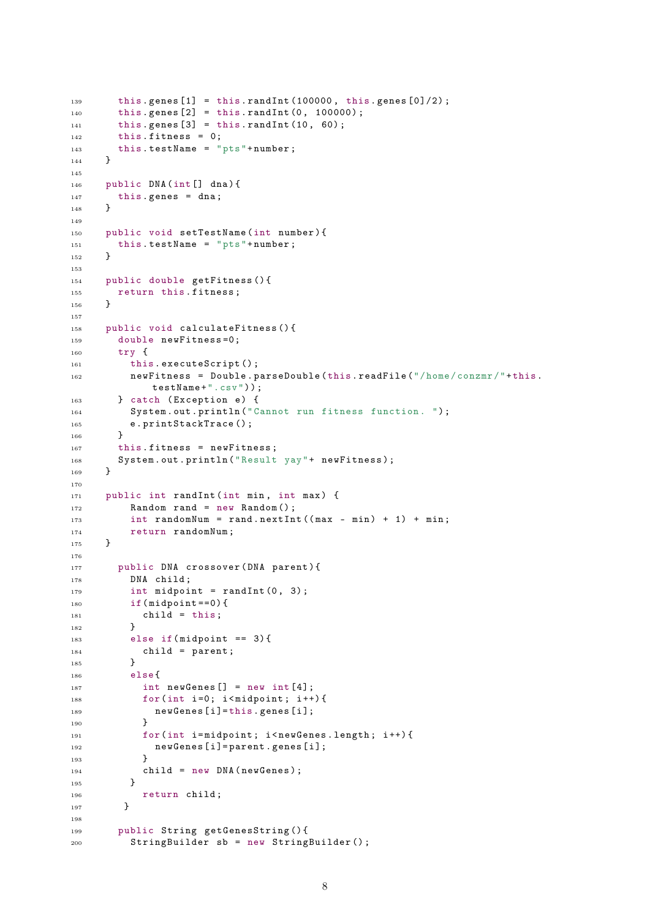```
_{139} this .genes [1] = this .randInt (100000, this .genes [0]/2);
140 this .genes [2] = this .randInt (0, 100000);
141 this . genes [3] = this . randInt (10, 60);
142 this.fitness = 0;
143 this . testName = "pts"+number;
144 }
145
146 public DNA (int [] dna ) {
147 this .genes = dna;
148 }
149
150 public void setTestName (int number) {
151 this . testName = "pts"+number;
152 }
153
154 public double getFitness () {
155 return this.fitness;
156 }
157
158 public void calculateFitness () {
159 double newFitness =0;
160 try {
161 this.executeScript ();
162 newFitness = Double.parseDouble(this.readFile("/home/conzmr/"+this.
            testName +".csv ") ) ;
163 } catch (Exception e) {
164 System . out . println (" Cannot run fitness function . ") ;
165 e.printStackTrace ();
166 }
167 this . fitness = newFitness;
168 System . out . println (" Result yay"+ newFitness ) ;
169 }
170
171 public int randInt (int min, int max) {
172 Random rand = new Random ();
173 int randomNum = rand.nextInt ((max - min) + 1) + min;
174 return randomNum;
175 }
176
177 public DNA crossover (DNA parent) {
178 DNA child;
179 int midpoint = randInt (0, 3);
180 if (midpoint ==0) {
181 child = this;
182 }
183 else if(midpoint == 3){
184 child = parent;<br>185185 }
186 else{
187 int newGenes [] = new int [4];
188 for (int i=0; i < midpoint; i ++) {
189 newGenes [i]=this . genes [i];
190 }
191 for (int i=midpoint; i<newGenes.length; i++){
192 newGenes [i] = parent . genes [i];
193 }
194 child = new DNA (newGenes);<br>
195 }
195 }
196 return child;
197 }
198
199 public String getGenesString () {
200 StringBuilder sb = new StringBuilder () ;
```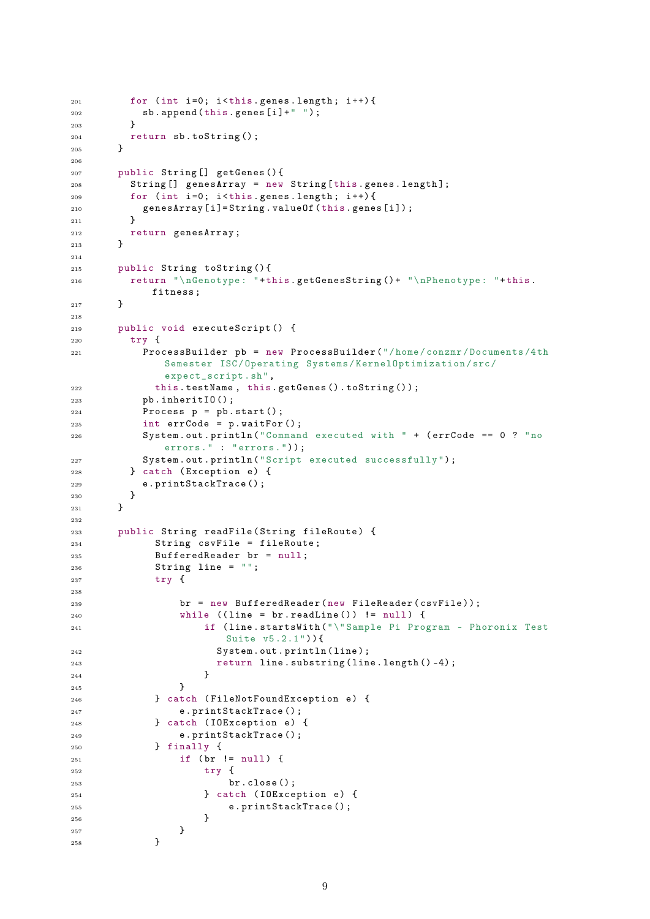```
_{201} for (int i=0; i<this.genes.length; i++){
202 sb. append (this. genes [i]+" ");
203 }
204 return sb . toString () ;
205 }
206207 public String [] getGenes () {
208 String [] genesArray = new String [ this . genes . length ];
209 for (int i=0; i<this.genes.length; i++){
210 genesArray [i]=String . valueOf (this . genes [i]);
211 }
212 return genesArray ;
213 }
214
215 public String toString () {
216 return "\nGenotype: "+this.getGenesString ()+ "\nPhenotype: "+this.
           fitness ;
217 }
218
219 public void executeScript () {
220 try f
221 ProcessBuilder pb = new ProcessBuilder ("/ home / conzmr / Documents /4 th
            Semester ISC/Operating Systems/KernelOptimization/src/
            expect_script .sh",
222 this . testName, this . getGenes () . toString ());
223 pb . inheritIO () ;
224 Process p = pb.start();
225 int errCode = p.waitFor();
226 System . out . println (" Command executed with " + ( errCode == 0 ? "no
            errors." : "errors."));
227 System . out . println (" Script executed successfully ") ;
228 } catch (Exception e) {
229 e . printStackTrace () ;
230 }
231 }
222233 public String readFile (String fileRoute) {
234 String csvFile = fileRoute ;
235 BufferedReader br = null ;
236 String line = ";
237 try {
238
239 br = new BufferedReader (new FileReader ( csvFile ) ;
240 while ((line = br.readLine()) != null) {
241 if ( line . startsWith ("\" Sample Pi Program - Phoronix Test
                     Suite v5.2.1")) {
242 System.out.println(line);
243 return line.substring (line.length () -4);<br>
\}<sup>244</sup> }
245 }
246 } catch (FileNotFoundException e) {
247 e . printStackTrace () ;
248 } catch (IOException e) {
249 e . printStackTrace () ;
250 } finally {
251 if ( br != null ) {
252 try {
253 br . close () ;
254 } catch (IOException e) {
255 e . printStackTrace () ;
256 }
257 }
258 }
```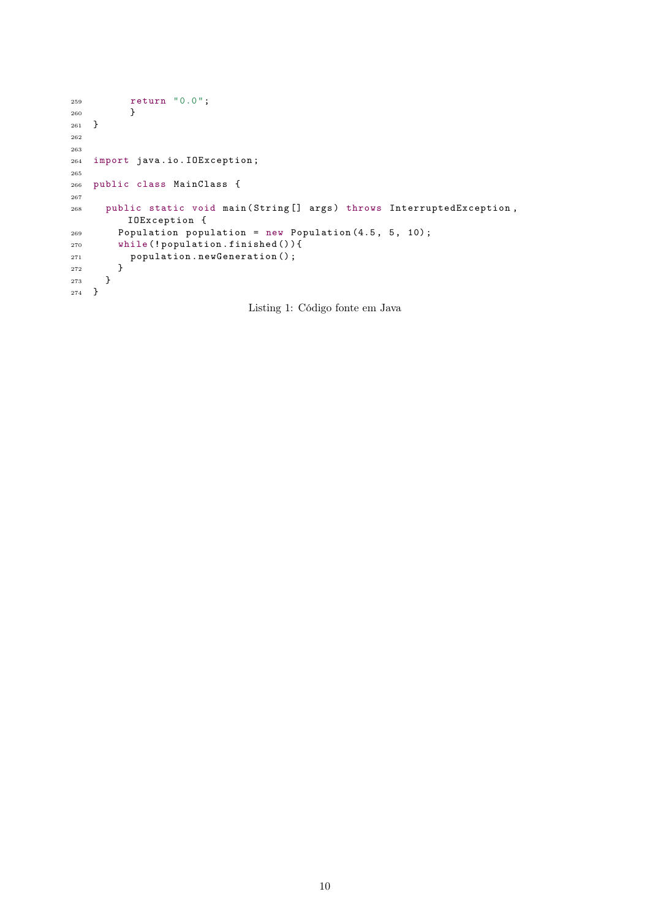```
259 return "0.0";
\left. \begin{array}{c} 260 \\ 261 \end{array} \right.261 }
262
263
264 import java . io . IOException ;
265
266 public class MainClass {
267
268 public static void main ( String [] args ) throws InterruptedException ,
            IOException {
269 Population population = new Population (4.5, 5, 10);
270 while (! population . finished () ) {
271 population . new Generation ();<br>272 }
\begin{matrix} 272\\ 273 \end{matrix} \qquad \qquad \Big\}273 }
274 }
```
Listing 1: Código fonte em Java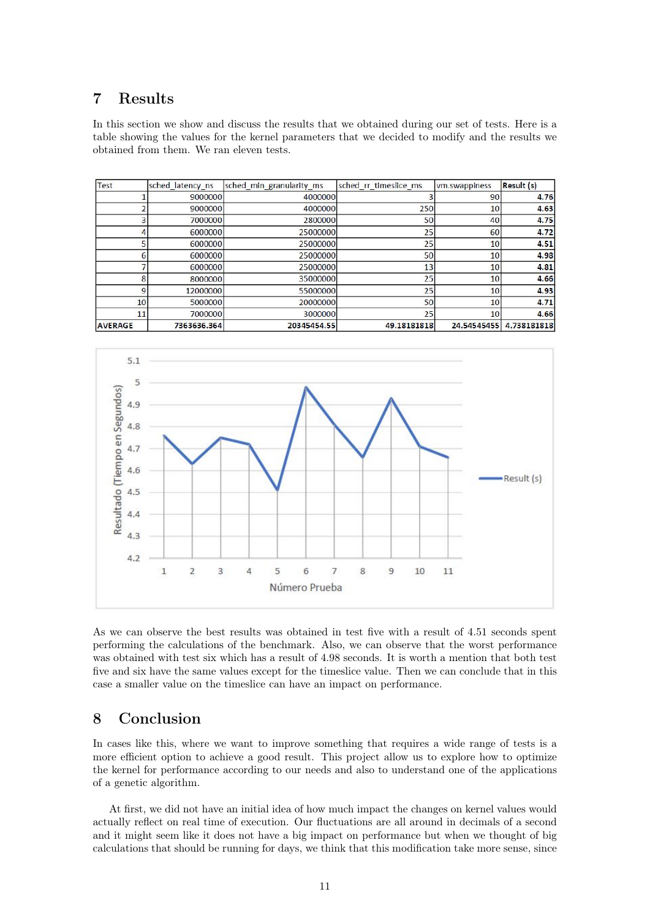## 7 Results

In this section we show and discuss the results that we obtained during our set of tests. Here is a table showing the values for the kernel parameters that we decided to modify and the results we obtained from them. We ran eleven tests.

| Test            | sched latency ns | sched min granularity ms | sched rr timeslice ms | vm.swappiness   | Result (s)  |
|-----------------|------------------|--------------------------|-----------------------|-----------------|-------------|
|                 | 9000000          | 4000000                  |                       | 90              | 4.76        |
|                 | 9000000          | 4000000                  | 250                   | 10 <sup>1</sup> | 4.63        |
|                 | 7000000          | 2800000                  | 50                    | 40              | 4.75        |
|                 | 6000000          | 25000000                 | 25                    | 60              | 4.72        |
|                 | 6000000          | 25000000                 | 25                    | 10 <sub>1</sub> | 4.51        |
|                 | 6000000          | 25000000                 | 50                    | 10              | 4.98        |
|                 | 6000000          | 25000000                 | 13                    | 10              | 4.81        |
| 8               | 8000000          | 35000000                 | 25                    | 10              | 4.66        |
|                 | 12000000         | 55000000                 | 25                    | 10              | 4.93        |
| 10 <sup>1</sup> | 5000000          | 20000000                 | 50                    | 10 <sup>1</sup> | 4.71        |
| 11              | 7000000          | 3000000                  | 25                    | 10 <sup>1</sup> | 4.66        |
| <b>AVERAGE</b>  | 7363636.364      | 20345454.55              | 49.18181818           | 24.54545455     | 4.738181818 |



As we can observe the best results was obtained in test five with a result of 4.51 seconds spent performing the calculations of the benchmark. Also, we can observe that the worst performance was obtained with test six which has a result of 4.98 seconds. It is worth a mention that both test five and six have the same values except for the timeslice value. Then we can conclude that in this case a smaller value on the timeslice can have an impact on performance.

## 8 Conclusion

In cases like this, where we want to improve something that requires a wide range of tests is a more efficient option to achieve a good result. This project allow us to explore how to optimize the kernel for performance according to our needs and also to understand one of the applications of a genetic algorithm.

At first, we did not have an initial idea of how much impact the changes on kernel values would actually reflect on real time of execution. Our fluctuations are all around in decimals of a second and it might seem like it does not have a big impact on performance but when we thought of big calculations that should be running for days, we think that this modification take more sense, since